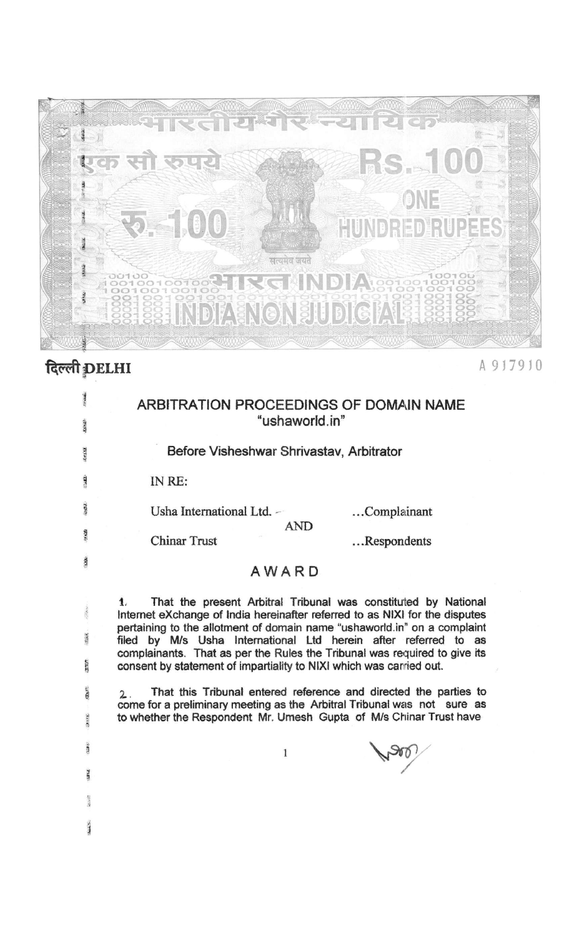

## दिल्ली DELHI

A 917910

| <b>The State</b>                                                                                                                                                                                                                                                               | ARBITRATION PROCEEDINGS OF DOMAIN NAME<br>"ushaworld.in"                                                                                                                                                                                                                                                                                                                                                                                                                                                                                                                                                                                                                                           |
|--------------------------------------------------------------------------------------------------------------------------------------------------------------------------------------------------------------------------------------------------------------------------------|----------------------------------------------------------------------------------------------------------------------------------------------------------------------------------------------------------------------------------------------------------------------------------------------------------------------------------------------------------------------------------------------------------------------------------------------------------------------------------------------------------------------------------------------------------------------------------------------------------------------------------------------------------------------------------------------------|
| 5.532                                                                                                                                                                                                                                                                          | Before Visheshwar Shrivastav, Arbitrator                                                                                                                                                                                                                                                                                                                                                                                                                                                                                                                                                                                                                                                           |
| $\frac{1}{2}$                                                                                                                                                                                                                                                                  | IN RE:                                                                                                                                                                                                                                                                                                                                                                                                                                                                                                                                                                                                                                                                                             |
| TEET.                                                                                                                                                                                                                                                                          | Usha International Ltd. -<br>Complainant                                                                                                                                                                                                                                                                                                                                                                                                                                                                                                                                                                                                                                                           |
|                                                                                                                                                                                                                                                                                | <b>AND</b><br><b>Chinar Trust</b><br>Respondents                                                                                                                                                                                                                                                                                                                                                                                                                                                                                                                                                                                                                                                   |
| 1281                                                                                                                                                                                                                                                                           | AWARD                                                                                                                                                                                                                                                                                                                                                                                                                                                                                                                                                                                                                                                                                              |
| $\label{eq:2} \mathcal{N} = \mathcal{N} \mathcal{N}$<br>$\overline{\text{max}}$<br><b>SELEV</b><br>$\mathbf{G} \mathbf{M}^{(1)}$<br>$2\pi\epsilon\epsilon$<br>$\label{eq:reduced} \mathcal{H}_{\mathbf{c}}(\mathbf{B},\mathbf{B}^{\prime})$<br>repr.<br><b>Rajast</b><br>ALL S | That the present Arbitral Tribunal was constituted by National<br>1.<br>Internet eXchange of India hereinafter referred to as NIXI for the disputes<br>pertaining to the allotment of domain name "ushaworld in" on a complaint<br>filed by M/s Usha International Ltd herein after referred to as<br>complainants. That as per the Rules the Tribunal was required to give its<br>consent by statement of impartiality to NIXI which was carried out.<br>That this Tribunal entered reference and directed the parties to<br>$\mathbf{2}$ .<br>come for a preliminary meeting as the Arbitral Tribunal was not sure as<br>to whether the Respondent Mr. Umesh Gupta of M/s Chinar Trust have<br>1 |
|                                                                                                                                                                                                                                                                                |                                                                                                                                                                                                                                                                                                                                                                                                                                                                                                                                                                                                                                                                                                    |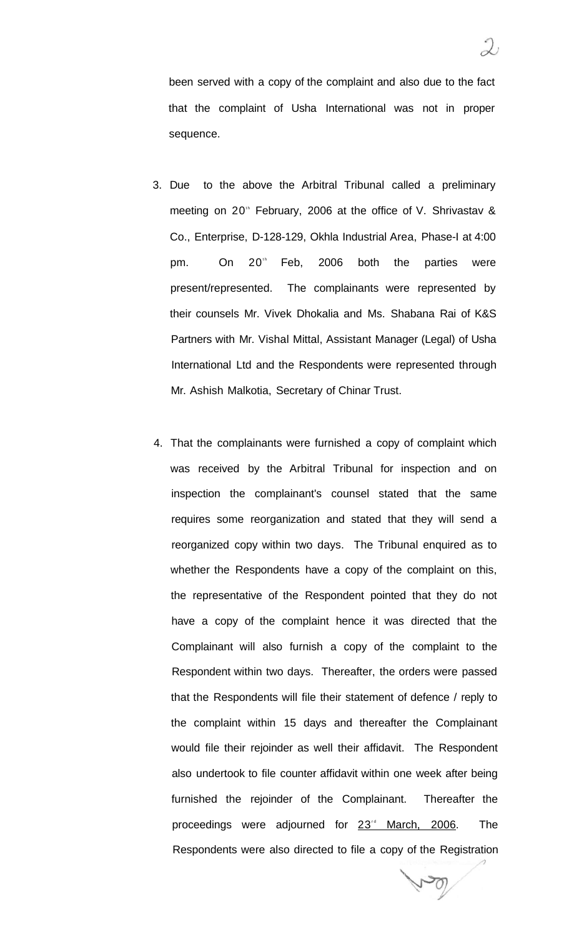been served with a copy of the complaint and also due to the fact that the complaint of Usha International was not in proper sequence.

- 3. Due to the above the Arbitral Tribunal called a preliminary meeting on  $20<sup>th</sup>$  February, 2006 at the office of V. Shrivastav & Co., Enterprise, D-128-129, Okhla Industrial Area, Phase-I at 4:00 pm. On 20<sup>th</sup> Feb, 2006 both the parties were present/represented. The complainants were represented by their counsels Mr. Vivek Dhokalia and Ms. Shabana Rai of K&S Partners with Mr. Vishal Mittal, Assistant Manager (Legal) of Usha International Ltd and the Respondents were represented through Mr. Ashish Malkotia, Secretary of Chinar Trust.
- 4. That the complainants were furnished a copy of complaint which was received by the Arbitral Tribunal for inspection and on inspection the complainant's counsel stated that the same requires some reorganization and stated that they will send a reorganized copy within two days. The Tribunal enquired as to whether the Respondents have a copy of the complaint on this, the representative of the Respondent pointed that they do not have a copy of the complaint hence it was directed that the Complainant will also furnish a copy of the complaint to the Respondent within two days. Thereafter, the orders were passed that the Respondents will file their statement of defence / reply to the complaint within 15 days and thereafter the Complainant would file their rejoinder as well their affidavit. The Respondent also undertook to file counter affidavit within one week after being furnished the rejoinder of the Complainant. Thereafter the proceedings were adjourned for 23<sup>rd</sup> March, 2006. The Respondents were also directed to file a copy of the Registration

 $\mathcal{P}_{\mathcal{O}}$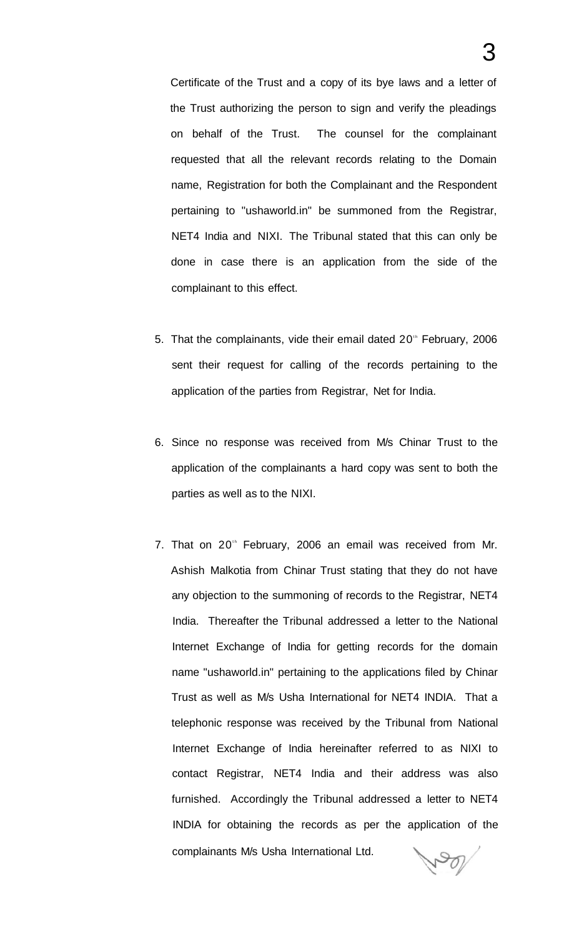Certificate of the Trust and a copy of its bye laws and a letter of the Trust authorizing the person to sign and verify the pleadings on behalf of the Trust. The counsel for the complainant requested that all the relevant records relating to the Domain name, Registration for both the Complainant and the Respondent pertaining to "ushaworld.in" be summoned from the Registrar, NET4 India and NIXI. The Tribunal stated that this can only be done in case there is an application from the side of the complainant to this effect.

- 5. That the complainants, vide their email dated  $20<sup>th</sup>$  February, 2006 sent their request for calling of the records pertaining to the application of the parties from Registrar, Net for India.
- 6. Since no response was received from M/s Chinar Trust to the application of the complainants a hard copy was sent to both the parties as well as to the NIXI.
- 7. That on 20<sup>th</sup> February, 2006 an email was received from Mr. Ashish Malkotia from Chinar Trust stating that they do not have any objection to the summoning of records to the Registrar, NET4 India. Thereafter the Tribunal addressed a letter to the National Internet Exchange of India for getting records for the domain name "ushaworld.in" pertaining to the applications filed by Chinar Trust as well as M/s Usha International for NET4 INDIA. That a telephonic response was received by the Tribunal from National Internet Exchange of India hereinafter referred to as NIXI to contact Registrar, NET4 India and their address was also furnished. Accordingly the Tribunal addressed a letter to NET4 INDIA for obtaining the records as per the application of the complainants M/s Usha International Ltd. POL

3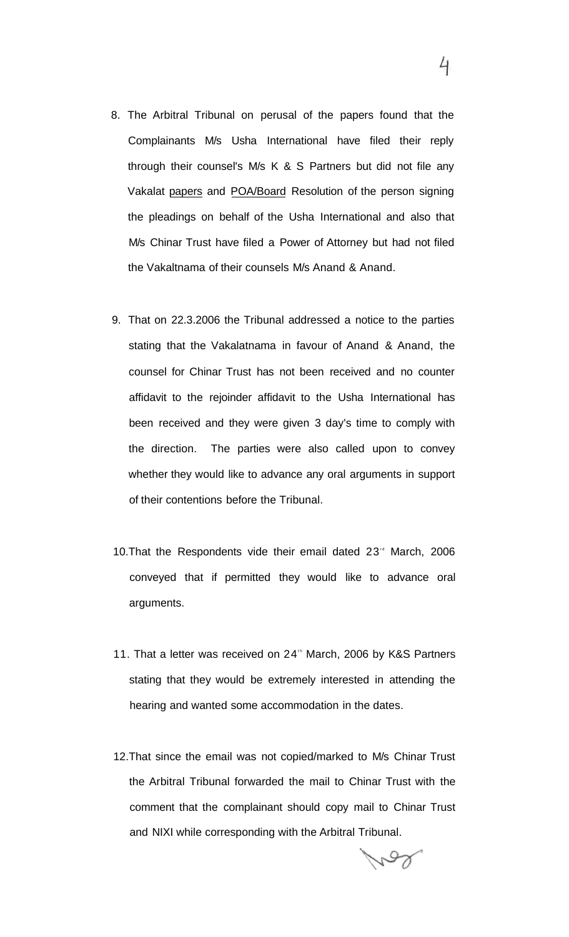- 8. The Arbitral Tribunal on perusal of the papers found that the Complainants M/s Usha International have filed their reply through their counsel's M/s K & S Partners but did not file any Vakalat papers and POA/Board Resolution of the person signing the pleadings on behalf of the Usha International and also that M/s Chinar Trust have filed a Power of Attorney but had not filed the Vakaltnama of their counsels M/s Anand & Anand.
- 9. That on 22.3.2006 the Tribunal addressed a notice to the parties stating that the Vakalatnama in favour of Anand & Anand, the counsel for Chinar Trust has not been received and no counter affidavit to the rejoinder affidavit to the Usha International has been received and they were given 3 day's time to comply with the direction. The parties were also called upon to convey whether they would like to advance any oral arguments in support of their contentions before the Tribunal.
- 10. That the Respondents vide their email dated 23<sup>th</sup> March, 2006 conveyed that if permitted they would like to advance oral arguments.
- 11. That a letter was received on 24<sup>th</sup> March, 2006 by K&S Partners stating that they would be extremely interested in attending the hearing and wanted some accommodation in the dates.
- 12.That since the email was not copied/marked to M/s Chinar Trust the Arbitral Tribunal forwarded the mail to Chinar Trust with the comment that the complainant should copy mail to Chinar Trust and NIXI while corresponding with the Arbitral Tribunal.

4

ros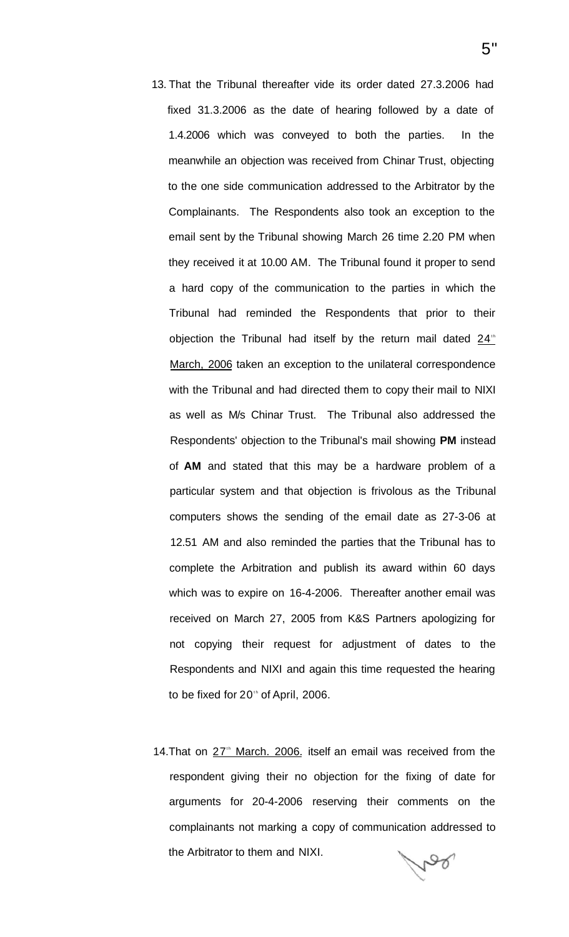- 13. That the Tribunal thereafter vide its order dated 27.3.2006 had fixed 31.3.2006 as the date of hearing followed by a date of 1.4.2006 which was conveyed to both the parties. In the meanwhile an objection was received from Chinar Trust, objecting to the one side communication addressed to the Arbitrator by the Complainants. The Respondents also took an exception to the email sent by the Tribunal showing March 26 time 2.20 PM when they received it at 10.00 AM. The Tribunal found it proper to send a hard copy of the communication to the parties in which the Tribunal had reminded the Respondents that prior to their objection the Tribunal had itself by the return mail dated  $24<sup>th</sup>$ March, 2006 taken an exception to the unilateral correspondence with the Tribunal and had directed them to copy their mail to NIXI as well as M/s Chinar Trust. The Tribunal also addressed the Respondents' objection to the Tribunal's mail showing **PM** instead of **AM** and stated that this may be a hardware problem of a particular system and that objection is frivolous as the Tribunal computers shows the sending of the email date as 27-3-06 at 12.51 AM and also reminded the parties that the Tribunal has to complete the Arbitration and publish its award within 60 days which was to expire on 16-4-2006. Thereafter another email was received on March 27, 2005 from K&S Partners apologizing for not copying their request for adjustment of dates to the Respondents and NIXI and again this time requested the hearing to be fixed for 20 $t$  of April, 2006.
- 14. That on  $27<sup>th</sup>$  March. 2006. itself an email was received from the respondent giving their no objection for the fixing of date for arguments for 20-4-2006 reserving their comments on the complainants not marking a copy of communication addressed to the Arbitrator to them and NIXI. Mad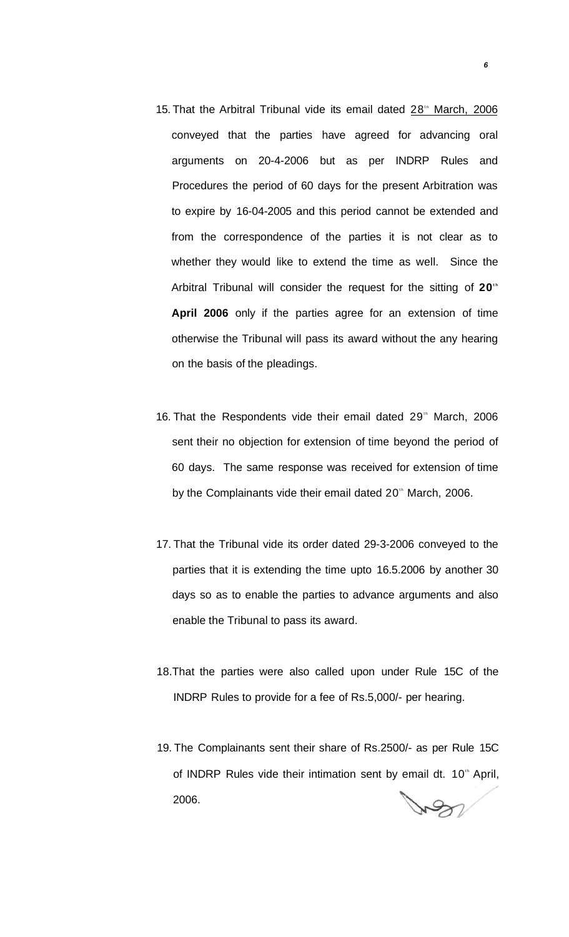- 15. That the Arbitral Tribunal vide its email dated 28<sup>th</sup> March, 2006 conveyed that the parties have agreed for advancing oral arguments on 20-4-2006 but as per INDRP Rules and Procedures the period of 60 days for the present Arbitration was to expire by 16-04-2005 and this period cannot be extended and from the correspondence of the parties it is not clear as to whether they would like to extend the time as well. Since the Arbitral Tribunal will consider the request for the sitting of 20<sup>th</sup> **April 2006** only if the parties agree for an extension of time otherwise the Tribunal will pass its award without the any hearing on the basis of the pleadings.
- 16. That the Respondents vide their email dated 29<sup>th</sup> March, 2006 sent their no objection for extension of time beyond the period of 60 days. The same response was received for extension of time by the Complainants vide their email dated 20<sup>th</sup> March, 2006.
- 17. That the Tribunal vide its order dated 29-3-2006 conveyed to the parties that it is extending the time upto 16.5.2006 by another 30 days so as to enable the parties to advance arguments and also enable the Tribunal to pass its award.
- 18.That the parties were also called upon under Rule 15C of the INDRP Rules to provide for a fee of Rs.5,000/- per hearing.
- 19. The Complainants sent their share of Rs.2500/- as per Rule 15C of INDRP Rules vide their intimation sent by email dt. 10<sup>th</sup> April, 2006. Ren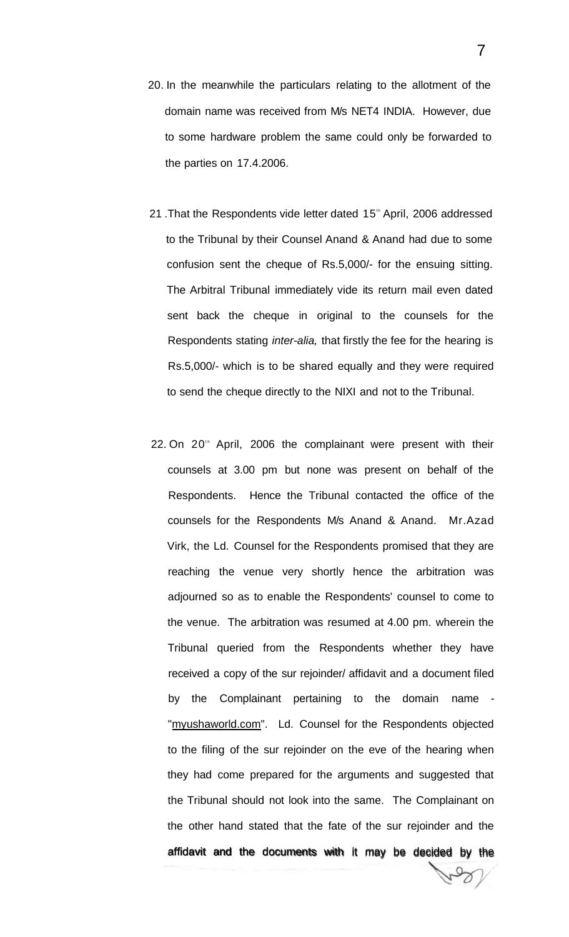- 20. In the meanwhile the particulars relating to the allotment of the domain name was received from M/s NET4 INDIA. However, due to some hardware problem the same could only be forwarded to the parties on 17.4.2006.
- 21. That the Respondents vide letter dated 15<sup>th</sup> April, 2006 addressed to the Tribunal by their Counsel Anand & Anand had due to some confusion sent the cheque of Rs.5,000/- for the ensuing sitting. The Arbitral Tribunal immediately vide its return mail even dated sent back the cheque in original to the counsels for the Respondents stating inter-alia, that firstly the fee for the hearing is Rs.5,000/- which is to be shared equally and they were required to send the cheque directly to the NIXI and not to the Tribunal.
- 22. On 20<sup>th</sup> April, 2006 the complainant were present with their counsels at 3.00 pm but none was present on behalf of the Respondents. Hence the Tribunal contacted the office of the counsels for the Respondents M/s Anand & Anand. Mr.Azad Virk, the Ld. Counsel for the Respondents promised that they are reaching the venue very shortly hence the arbitration was adjourned so as to enable the Respondents' counsel to come to the venue. The arbitration was resumed at 4.00 pm. wherein the Tribunal queried from the Respondents whether they have received a copy of the sur rejoinder/ affidavit and a document filed by the Complainant pertaining to the domain name "[myushaworld.com".](http://myushaworld.com) Ld. Counsel for the Respondents objected to the filing of the sur rejoinder on the eve of the hearing when they had come prepared for the arguments and suggested that the Tribunal should not look into the same. The Complainant on the other hand stated that the fate of the sur rejoinder and the affidavit and the documents with it may be decided by the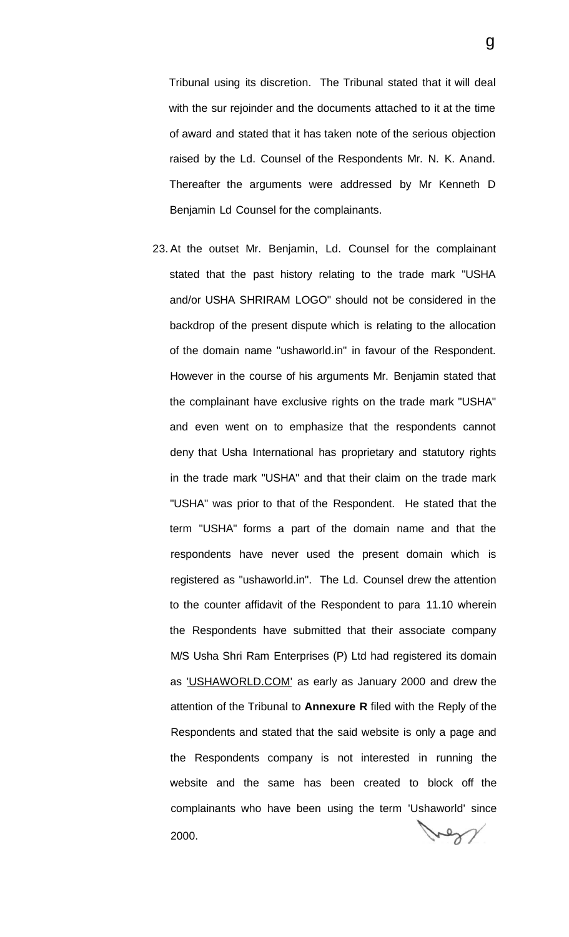Tribunal using its discretion. The Tribunal stated that it will deal with the sur rejoinder and the documents attached to it at the time of award and stated that it has taken note of the serious objection raised by the Ld. Counsel of the Respondents Mr. N. K. Anand. Thereafter the arguments were addressed by Mr Kenneth D Benjamin Ld Counsel for the complainants.

23. At the outset Mr. Benjamin, Ld. Counsel for the complainant stated that the past history relating to the trade mark "USHA and/or USHA SHRIRAM LOGO" should not be considered in the backdrop of the present dispute which is relating to the allocation of the domain name "ushaworld.in" in favour of the Respondent. However in the course of his arguments Mr. Benjamin stated that the complainant have exclusive rights on the trade mark "USHA" and even went on to emphasize that the respondents cannot deny that Usha International has proprietary and statutory rights in the trade mark "USHA" and that their claim on the trade mark "USHA" was prior to that of the Respondent. He stated that the term "USHA" forms a part of the domain name and that the respondents have never used the present domain which is registered as "ushaworld.in". The Ld. Counsel drew the attention to the counter affidavit of the Respondent to para 11.10 wherein the Respondents have submitted that their associate company M/S Usha Shri Ram Enterprises (P) Ltd had registered its domain as ['USHAWORLD.COM' a](http://)s early as January 2000 and drew the attention of the Tribunal to **Annexure R** filed with the Reply of the Respondents and stated that the said website is only a page and the Respondents company is not interested in running the website and the same has been created to block off the complainants who have been using the term 'Ushaworld' since 2000.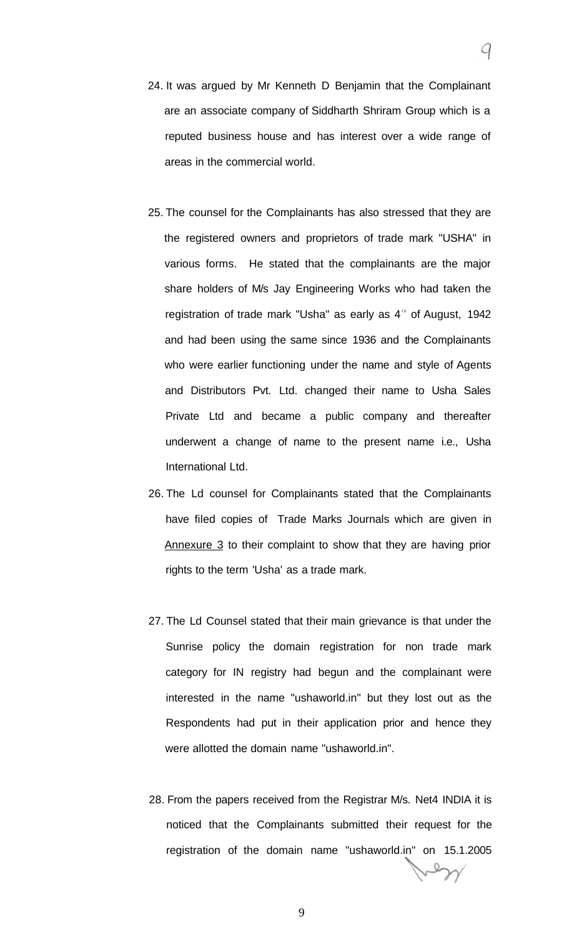- 24. It was argued by Mr Kenneth D Benjamin that the Complainant
	- are an associate company of Siddharth Shriram Group which is a reputed business house and has interest over a wide range of areas in the commercial world.
- 25. The counsel for the Complainants has also stressed that they are the registered owners and proprietors of trade mark "USHA" in various forms. He stated that the complainants are the major share holders of M/s Jay Engineering Works who had taken the registration of trade mark "Usha" as early as 4<sup>th</sup> of August, 1942 and had been using the same since 1936 and the Complainants who were earlier functioning under the name and style of Agents and Distributors Pvt. Ltd. changed their name to Usha Sales Private Ltd and became a public company and thereafter underwent a change of name to the present name i.e., Usha International Ltd.
- 26. The Ld counsel for Complainants stated that the Complainants have filed copies of Trade Marks Journals which are given in Annexure 3 to their complaint to show that they are having prior rights to the term 'Usha' as a trade mark.
- 27. The Ld Counsel stated that their main grievance is that under the Sunrise policy the domain registration for non trade mark category for IN registry had begun and the complainant were interested in the name "ushaworld.in" but they lost out as the Respondents had put in their application prior and hence they were allotted the domain name "ushaworld.in".
- 28. From the papers received from the Registrar M/s. Net4 INDIA it is noticed that the Complainants submitted their request for the registration of the domain name "ushaworld.in" on 15.1.2005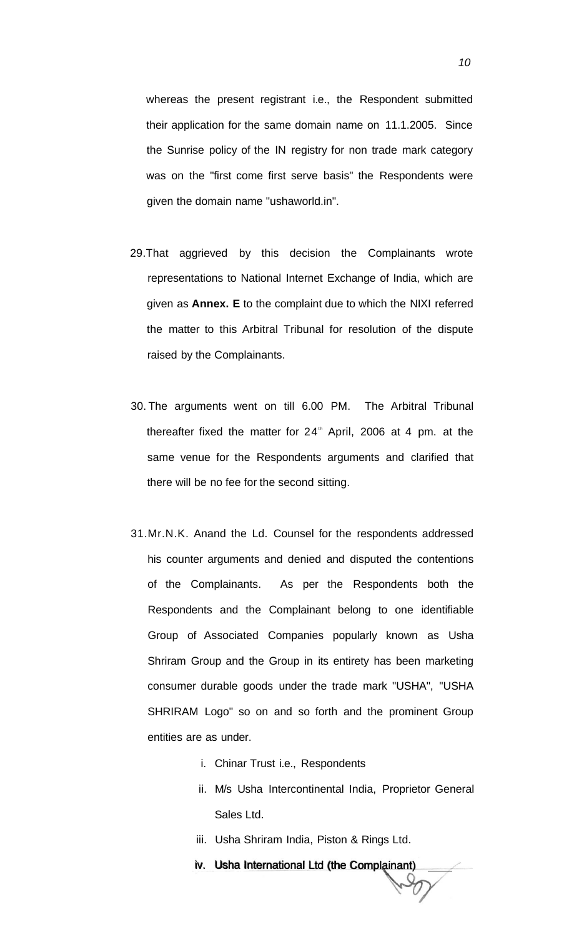whereas the present registrant i.e., the Respondent submitted their application for the same domain name on 11.1.2005. Since the Sunrise policy of the IN registry for non trade mark category was on the "first come first serve basis" the Respondents were given the domain name "ushaworld.in".

- 29.That aggrieved by this decision the Complainants wrote representations to National Internet Exchange of India, which are given as **Annex. E** to the complaint due to which the NIXI referred the matter to this Arbitral Tribunal for resolution of the dispute raised by the Complainants.
- 30. The arguments went on till 6.00 PM. The Arbitral Tribunal thereafter fixed the matter for  $24<sup>th</sup>$  April, 2006 at 4 pm. at the same venue for the Respondents arguments and clarified that there will be no fee for the second sitting.
- 31.Mr.N.K. Anand the Ld. Counsel for the respondents addressed his counter arguments and denied and disputed the contentions of the Complainants. As per the Respondents both the Respondents and the Complainant belong to one identifiable Group of Associated Companies popularly known as Usha Shriram Group and the Group in its entirety has been marketing consumer durable goods under the trade mark "USHA", "USHA SHRIRAM Logo" so on and so forth and the prominent Group entities are as under.
	- i. Chinar Trust i.e., Respondents
	- ii. M/s Usha Intercontinental India, Proprietor General Sales Ltd.
	- iii. Usha Shriram India, Piston & Rings Ltd.
	- iv. Usha International Ltd (the Complainant)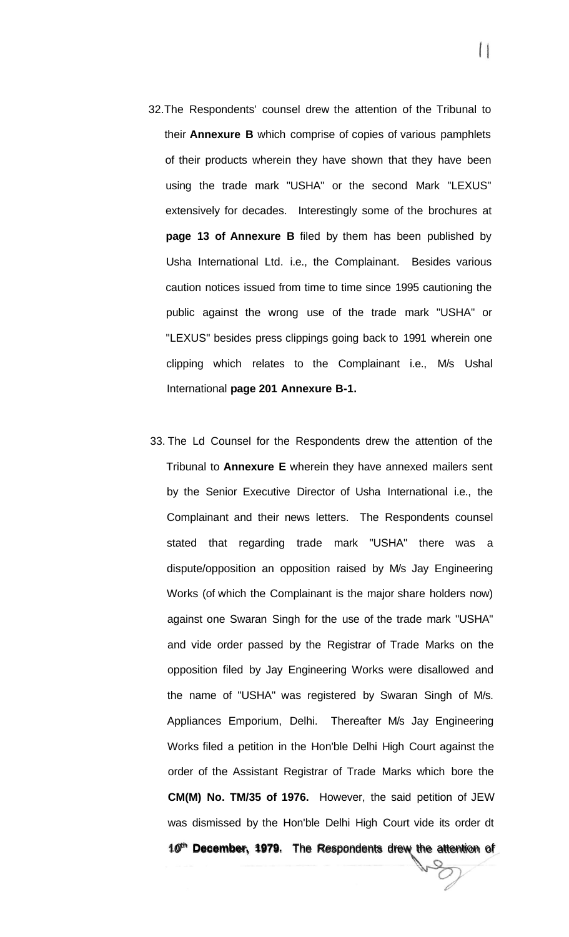- 32.The Respondents' counsel drew the attention of the Tribunal to their **Annexure B** which comprise of copies of various pamphlets of their products wherein they have shown that they have been using the trade mark "USHA" or the second Mark "LEXUS" extensively for decades. Interestingly some of the brochures at **page 13 of Annexure B** filed by them has been published by Usha International Ltd. i.e., the Complainant. Besides various caution notices issued from time to time since 1995 cautioning the public against the wrong use of the trade mark "USHA" or "LEXUS" besides press clippings going back to 1991 wherein one clipping which relates to the Complainant i.e., M/s Ushal International **page 201 Annexure B-1.**
- 33. The Ld Counsel for the Respondents drew the attention of the Tribunal to **Annexure E** wherein they have annexed mailers sent by the Senior Executive Director of Usha International i.e., the Complainant and their news letters. The Respondents counsel stated that regarding trade mark "USHA" there was a dispute/opposition an opposition raised by M/s Jay Engineering Works (of which the Complainant is the major share holders now) against one Swaran Singh for the use of the trade mark "USHA" and vide order passed by the Registrar of Trade Marks on the opposition filed by Jay Engineering Works were disallowed and the name of "USHA" was registered by Swaran Singh of M/s. Appliances Emporium, Delhi. Thereafter M/s Jay Engineering Works filed a petition in the Hon'ble Delhi High Court against the order of the Assistant Registrar of Trade Marks which bore the **CM(M) No. TM/35 of 1976.** However, the said petition of JEW was dismissed by the Hon'ble Delhi High Court vide its order dt 10<sup>th</sup> December, 1979. The Respondents drew the attention of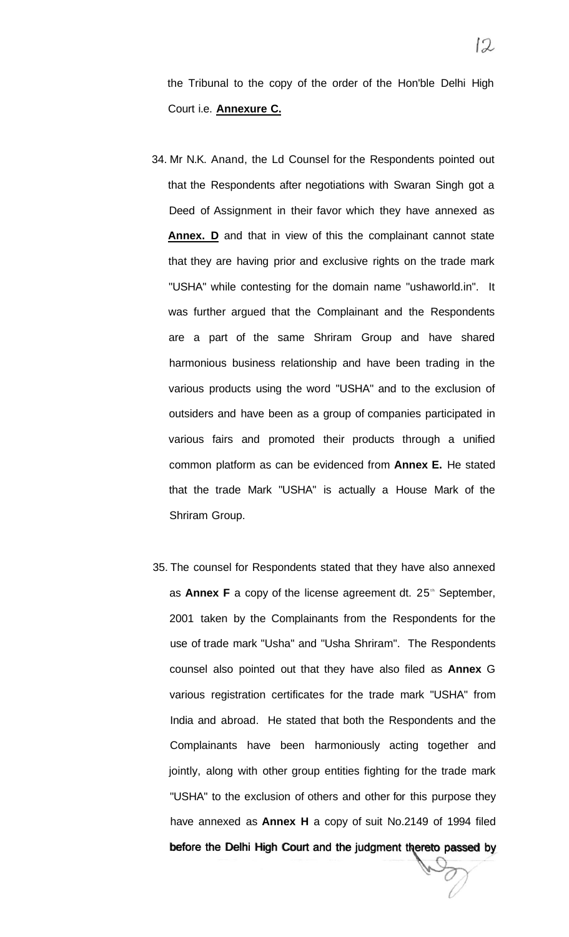the Tribunal to the copy of the order of the Hon'ble Delhi High Court i.e. **Annexure C.** 

- 34. Mr N.K. Anand, the Ld Counsel for the Respondents pointed out that the Respondents after negotiations with Swaran Singh got a Deed of Assignment in their favor which they have annexed as **Annex. D** and that in view of this the complainant cannot state that they are having prior and exclusive rights on the trade mark "USHA" while contesting for the domain name "ushaworld.in". It was further argued that the Complainant and the Respondents are a part of the same Shriram Group and have shared harmonious business relationship and have been trading in the various products using the word "USHA" and to the exclusion of outsiders and have been as a group of companies participated in various fairs and promoted their products through a unified common platform as can be evidenced from **Annex E.** He stated that the trade Mark "USHA" is actually a House Mark of the Shriram Group.
- 35. The counsel for Respondents stated that they have also annexed as **Annex F** a copy of the license agreement dt. 25<sup>th</sup> September, 2001 taken by the Complainants from the Respondents for the use of trade mark "Usha" and "Usha Shriram". The Respondents counsel also pointed out that they have also filed as **Annex** G various registration certificates for the trade mark "USHA" from India and abroad. He stated that both the Respondents and the Complainants have been harmoniously acting together and jointly, along with other group entities fighting for the trade mark "USHA" to the exclusion of others and other for this purpose they have annexed as **Annex H** a copy of suit No.2149 of 1994 filed before the Delhi High Court and the judgment thereto passed by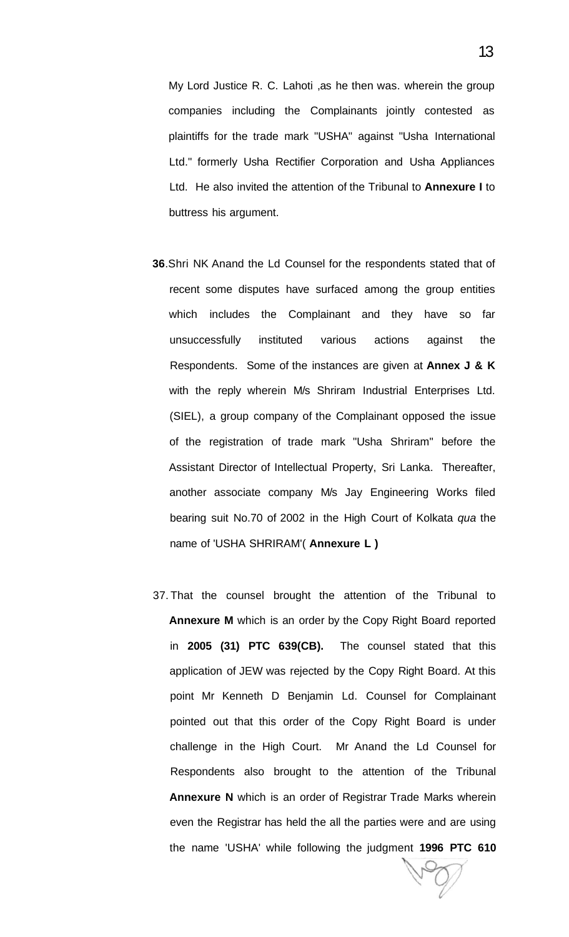My Lord Justice R. C. Lahoti ,as he then was. wherein the group companies including the Complainants jointly contested as plaintiffs for the trade mark "USHA" against "Usha International Ltd." formerly Usha Rectifier Corporation and Usha Appliances Ltd. He also invited the attention of the Tribunal to **Annexure I** to buttress his argument.

- **36**.Shri NK Anand the Ld Counsel for the respondents stated that of recent some disputes have surfaced among the group entities which includes the Complainant and they have so far unsuccessfully instituted various actions against the Respondents. Some of the instances are given at **Annex J & K**  with the reply wherein M/s Shriram Industrial Enterprises Ltd. (SIEL), a group company of the Complainant opposed the issue of the registration of trade mark "Usha Shriram" before the Assistant Director of Intellectual Property, Sri Lanka. Thereafter, another associate company M/s Jay Engineering Works filed bearing suit No.70 of 2002 in the High Court of Kolkata qua the name of 'USHA SHRIRAM'( **Annexure L )**
- 37. That the counsel brought the attention of the Tribunal to **Annexure M** which is an order by the Copy Right Board reported in **2005 (31) PTC 639(CB).** The counsel stated that this application of JEW was rejected by the Copy Right Board. At this point Mr Kenneth D Benjamin Ld. Counsel for Complainant pointed out that this order of the Copy Right Board is under challenge in the High Court. Mr Anand the Ld Counsel for Respondents also brought to the attention of the Tribunal **Annexure N** which is an order of Registrar Trade Marks wherein even the Registrar has held the all the parties were and are using the name 'USHA' while following the judgment **1996 PTC 610**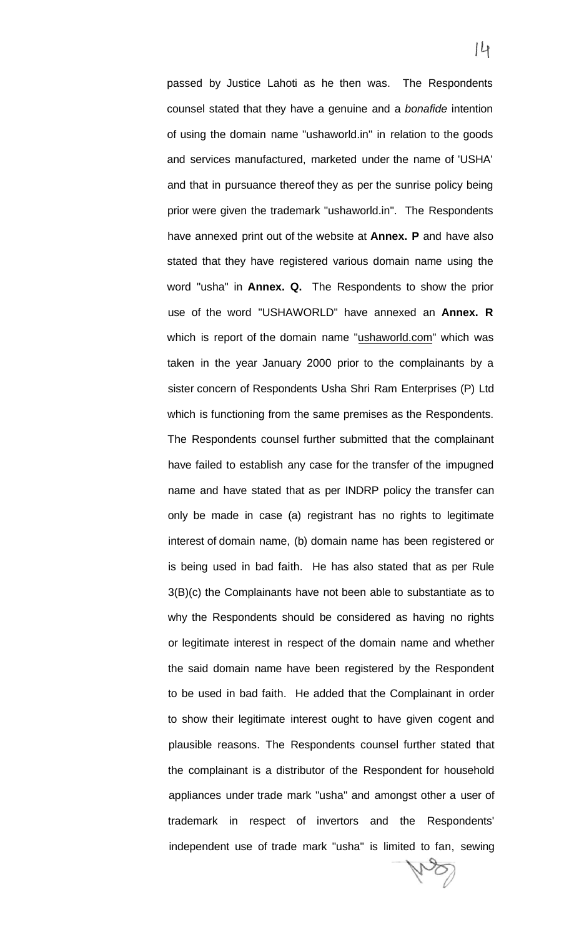passed by Justice Lahoti as he then was. The Respondents counsel stated that they have a genuine and a bonafide intention of using the domain name "ushaworld.in" in relation to the goods and services manufactured, marketed under the name of 'USHA' and that in pursuance thereof they as per the sunrise policy being prior were given the trademark "ushaworld.in". The Respondents have annexed print out of the website at **Annex. P** and have also stated that they have registered various domain name using the word "usha" in **Annex. Q.** The Respondents to show the prior use of the word "USHAWORLD" have annexed an **Annex. R**  which is report of the domain name "[ushaworld.com"](http://ushaworld.com) which was taken in the year January 2000 prior to the complainants by a sister concern of Respondents Usha Shri Ram Enterprises (P) Ltd which is functioning from the same premises as the Respondents. The Respondents counsel further submitted that the complainant have failed to establish any case for the transfer of the impugned name and have stated that as per INDRP policy the transfer can only be made in case (a) registrant has no rights to legitimate interest of domain name, (b) domain name has been registered or is being used in bad faith. He has also stated that as per Rule 3(B)(c) the Complainants have not been able to substantiate as to why the Respondents should be considered as having no rights or legitimate interest in respect of the domain name and whether the said domain name have been registered by the Respondent to be used in bad faith. He added that the Complainant in order to show their legitimate interest ought to have given cogent and plausible reasons. The Respondents counsel further stated that the complainant is a distributor of the Respondent for household appliances under trade mark "usha" and amongst other a user of trademark in respect of invertors and the Respondents' independent use of trade mark "usha" is limited to fan, sewing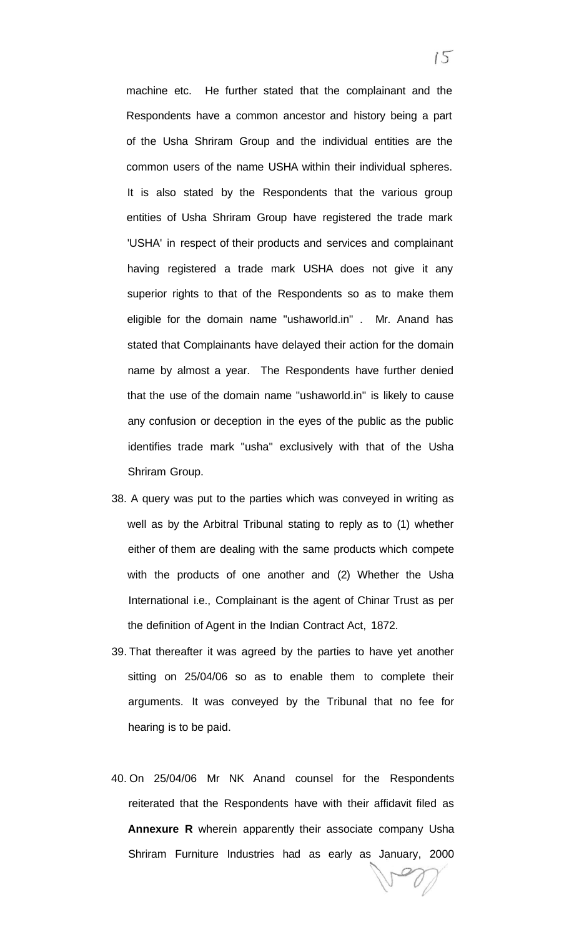machine etc. He further stated that the complainant and the Respondents have a common ancestor and history being a part of the Usha Shriram Group and the individual entities are the common users of the name USHA within their individual spheres. It is also stated by the Respondents that the various group entities of Usha Shriram Group have registered the trade mark 'USHA' in respect of their products and services and complainant having registered a trade mark USHA does not give it any superior rights to that of the Respondents so as to make them eligible for the domain name "ushaworld.in" . Mr. Anand has stated that Complainants have delayed their action for the domain name by almost a year. The Respondents have further denied that the use of the domain name "ushaworld.in" is likely to cause any confusion or deception in the eyes of the public as the public identifies trade mark "usha" exclusively with that of the Usha Shriram Group.

- 38. A query was put to the parties which was conveyed in writing as well as by the Arbitral Tribunal stating to reply as to (1) whether either of them are dealing with the same products which compete with the products of one another and (2) Whether the Usha International i.e., Complainant is the agent of Chinar Trust as per the definition of Agent in the Indian Contract Act, 1872.
- 39. That thereafter it was agreed by the parties to have yet another sitting on 25/04/06 so as to enable them to complete their arguments. It was conveyed by the Tribunal that no fee for hearing is to be paid.
- 40. On 25/04/06 Mr NK Anand counsel for the Respondents reiterated that the Respondents have with their affidavit filed as **Annexure R** wherein apparently their associate company Usha Shriram Furniture Industries had as early as January, 2000

 $15$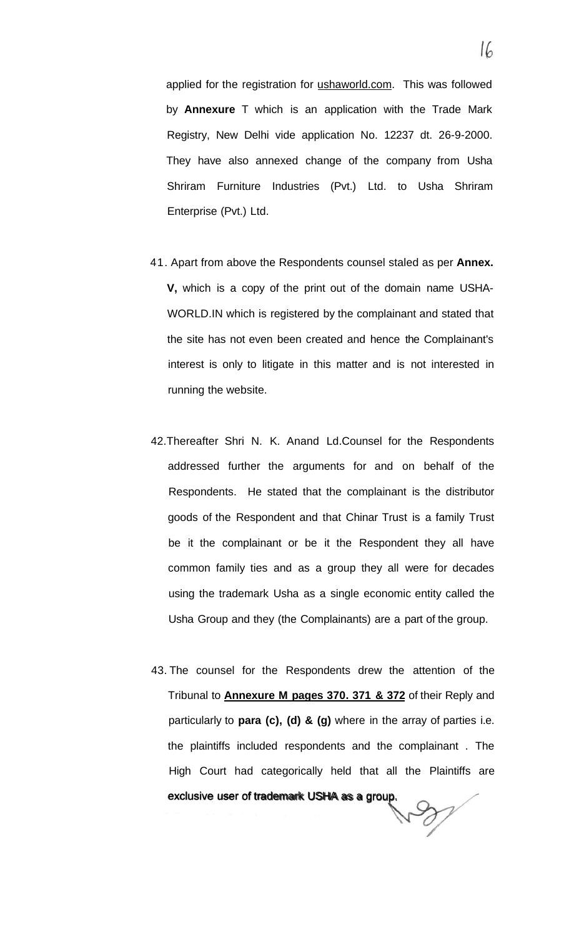applied for the registration for [ushaworld.com.](http://ushaworld.com) This was followed by **Annexure** T which is an application with the Trade Mark Registry, New Delhi vide application No. 12237 dt. 26-9-2000. They have also annexed change of the company from Usha Shriram Furniture Industries (Pvt.) Ltd. to Usha Shriram Enterprise (Pvt.) Ltd.

- 41. Apart from above the Respondents counsel staled as per **Annex. V,** which is a copy of the print out of the domain name USHA-WORLD.IN which is registered by the complainant and stated that the site has not even been created and hence the Complainant's interest is only to litigate in this matter and is not interested in running the website.
- 42.Thereafter Shri N. K. Anand Ld.Counsel for the Respondents addressed further the arguments for and on behalf of the Respondents. He stated that the complainant is the distributor goods of the Respondent and that Chinar Trust is a family Trust be it the complainant or be it the Respondent they all have common family ties and as a group they all were for decades using the trademark Usha as a single economic entity called the Usha Group and they (the Complainants) are a part of the group.
- 43. The counsel for the Respondents drew the attention of the Tribunal to **Annexure M pages 370. 371 & 372** of their Reply and particularly to **para (c), (d) & (g)** where in the array of parties i.e. the plaintiffs included respondents and the complainant . The High Court had categorically held that all the Plaintiffs are exclusive user of trademark USHA as a group.

 $\partial$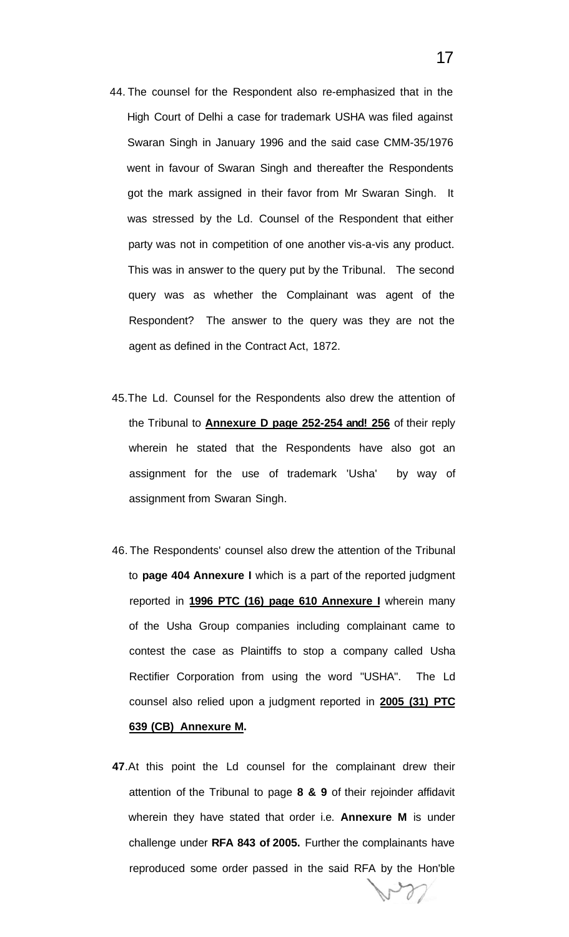- 44. The counsel for the Respondent also re-emphasized that in the High Court of Delhi a case for trademark USHA was filed against Swaran Singh in January 1996 and the said case CMM-35/1976 went in favour of Swaran Singh and thereafter the Respondents got the mark assigned in their favor from Mr Swaran Singh. It was stressed by the Ld. Counsel of the Respondent that either party was not in competition of one another vis-a-vis any product. This was in answer to the query put by the Tribunal. The second query was as whether the Complainant was agent of the Respondent? The answer to the query was they are not the agent as defined in the Contract Act, 1872.
- 45.The Ld. Counsel for the Respondents also drew the attention of the Tribunal to **Annexure D page 252-254 and! 256** of their reply wherein he stated that the Respondents have also got an assignment for the use of trademark 'Usha' by way of assignment from Swaran Singh.
- 46. The Respondents' counsel also drew the attention of the Tribunal to **page 404 Annexure I** which is a part of the reported judgment reported in **1996 PTC (16) page 610 Annexure I** wherein many of the Usha Group companies including complainant came to contest the case as Plaintiffs to stop a company called Usha Rectifier Corporation from using the word "USHA". The Ld counsel also relied upon a judgment reported in **2005 (31) PTC 639 (CB) Annexure M.**
- **47**.At this point the Ld counsel for the complainant drew their attention of the Tribunal to page **8 & 9** of their rejoinder affidavit wherein they have stated that order i.e. **Annexure M** is under challenge under **RFA 843 of 2005.** Further the complainants have reproduced some order passed in the said RFA by the Hon'ble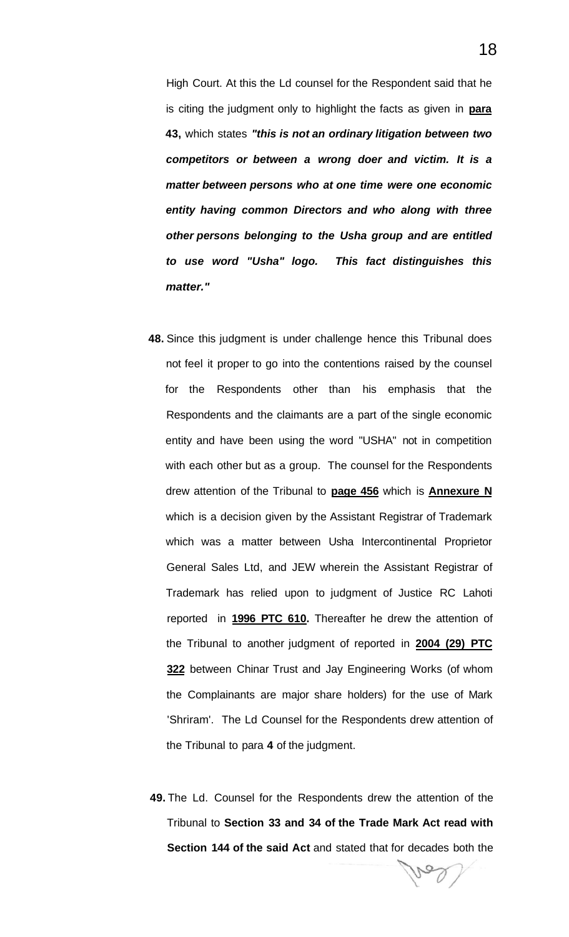High Court. At this the Ld counsel for the Respondent said that he is citing the judgment only to highlight the facts as given in **para 43,** which states **"this is not an ordinary litigation between two competitors or between a wrong doer and victim. It is a matter between persons who at one time were one economic entity having common Directors and who along with three other persons belonging to the Usha group and are entitled to use word "Usha" logo. This fact distinguishes this matter."** 

- **48.** Since this judgment is under challenge hence this Tribunal does not feel it proper to go into the contentions raised by the counsel for the Respondents other than his emphasis that the Respondents and the claimants are a part of the single economic entity and have been using the word "USHA" not in competition with each other but as a group. The counsel for the Respondents drew attention of the Tribunal to **page 456** which is **Annexure N**  which is a decision given by the Assistant Registrar of Trademark which was a matter between Usha Intercontinental Proprietor General Sales Ltd, and JEW wherein the Assistant Registrar of Trademark has relied upon to judgment of Justice RC Lahoti reported in **1996 PTC 610.** Thereafter he drew the attention of the Tribunal to another judgment of reported in **2004 (29) PTC 322** between Chinar Trust and Jay Engineering Works (of whom the Complainants are major share holders) for the use of Mark 'Shriram'. The Ld Counsel for the Respondents drew attention of the Tribunal to para **4** of the judgment.
- **49.** The Ld. Counsel for the Respondents drew the attention of the Tribunal to **Section 33 and 34 of the Trade Mark Act read with Section 144 of the said Act** and stated that for decades both the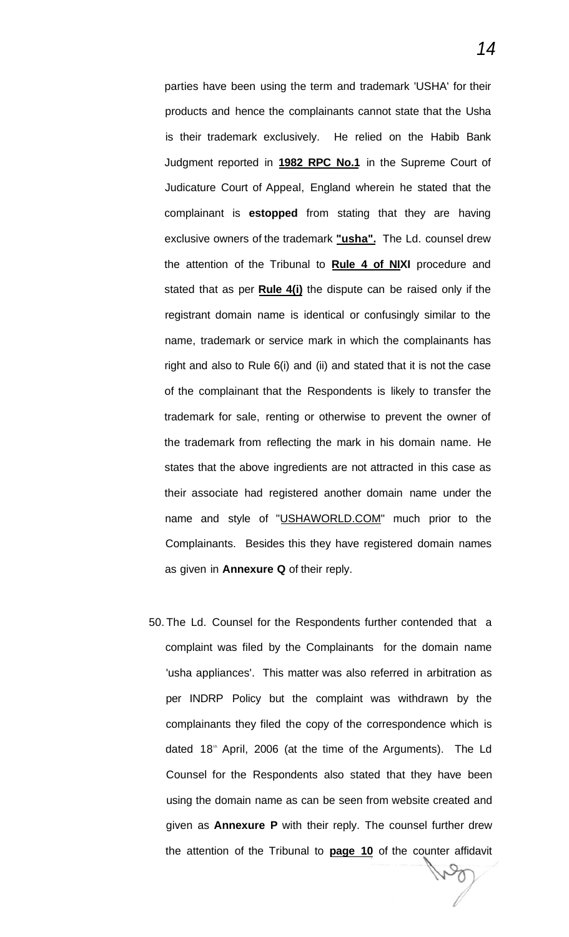parties have been using the term and trademark 'USHA' for their products and hence the complainants cannot state that the Usha is their trademark exclusively. He relied on the Habib Bank Judgment reported in **1982 RPC No.1** in the Supreme Court of Judicature Court of Appeal, England wherein he stated that the complainant is **estopped** from stating that they are having exclusive owners of the trademark **"usha".** The Ld. counsel drew the attention of the Tribunal to **Rule 4 of NIXI** procedure and stated that as per **Rule 4(i)** the dispute can be raised only if the registrant domain name is identical or confusingly similar to the name, trademark or service mark in which the complainants has right and also to Rule 6(i) and (ii) and stated that it is not the case of the complainant that the Respondents is likely to transfer the trademark for sale, renting or otherwise to prevent the owner of the trademark from reflecting the mark in his domain name. He states that the above ingredients are not attracted in this case as their associate had registered another domain name under the name and style of "[USHAWORLD.COM"](http://USHAWORLD.COM) much prior to the Complainants. Besides this they have registered domain names as given in **Annexure Q** of their reply.

50. The Ld. Counsel for the Respondents further contended that a complaint was filed by the Complainants for the domain name 'usha appliances'. This matter was also referred in arbitration as per INDRP Policy but the complaint was withdrawn by the complainants they filed the copy of the correspondence which is dated 18<sup>th</sup> April, 2006 (at the time of the Arguments). The Ld Counsel for the Respondents also stated that they have been using the domain name as can be seen from website created and given as **Annexure P** with their reply. The counsel further drew the attention of the Tribunal to **page 10** of the counter affidavit

14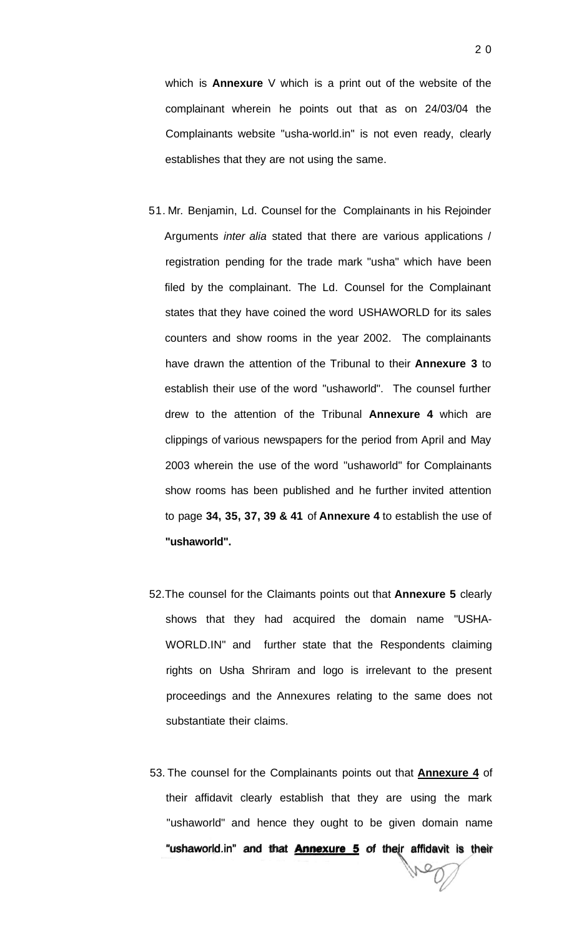which is **Annexure** V which is a print out of the website of the complainant wherein he points out that as on 24/03/04 the Complainants website "usha-world.in" is not even ready, clearly establishes that they are not using the same.

- 51. Mr. Benjamin, Ld. Counsel for the Complainants in his Rejoinder Arguments inter alia stated that there are various applications / registration pending for the trade mark "usha" which have been filed by the complainant. The Ld. Counsel for the Complainant states that they have coined the word USHAWORLD for its sales counters and show rooms in the year 2002. The complainants have drawn the attention of the Tribunal to their **Annexure 3** to establish their use of the word "ushaworld". The counsel further drew to the attention of the Tribunal **Annexure 4** which are clippings of various newspapers for the period from April and May 2003 wherein the use of the word "ushaworld" for Complainants show rooms has been published and he further invited attention to page **34, 35, 37, 39 & 41** of **Annexure 4** to establish the use of **"ushaworld".**
- 52.The counsel for the Claimants points out that **Annexure 5** clearly shows that they had acquired the domain name "USHA-WORLD.IN" and further state that the Respondents claiming rights on Usha Shriram and logo is irrelevant to the present proceedings and the Annexures relating to the same does not substantiate their claims.
- 53. The counsel for the Complainants points out that **Annexure 4** of their affidavit clearly establish that they are using the mark "ushaworld" and hence they ought to be given domain name "ushaworld.in" and that **Annexure 5** of their affidavit is their

2 0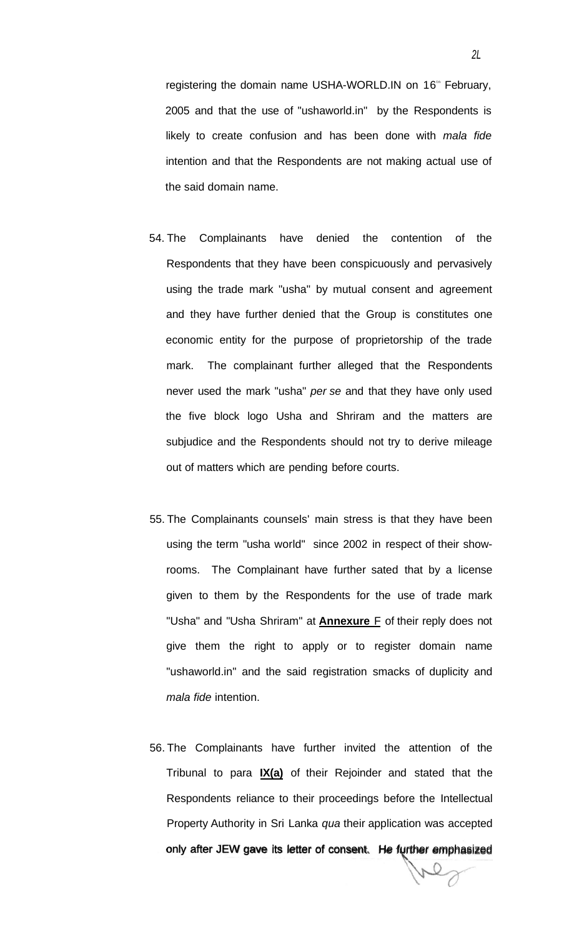registering the domain name USHA-WORLD.IN on 16<sup>th</sup> February, 2005 and that the use of "ushaworld.in" by the Respondents is likely to create confusion and has been done with mala fide intention and that the Respondents are not making actual use of the said domain name.

- 54. The Complainants have denied the contention of the Respondents that they have been conspicuously and pervasively using the trade mark "usha" by mutual consent and agreement and they have further denied that the Group is constitutes one economic entity for the purpose of proprietorship of the trade mark. The complainant further alleged that the Respondents never used the mark "usha" per se and that they have only used the five block logo Usha and Shriram and the matters are subjudice and the Respondents should not try to derive mileage out of matters which are pending before courts.
- 55. The Complainants counsels' main stress is that they have been using the term "usha world" since 2002 in respect of their showrooms. The Complainant have further sated that by a license given to them by the Respondents for the use of trade mark "Usha" and "Usha Shriram" at **Annexure** F of their reply does not give them the right to apply or to register domain name "ushaworld.in" and the said registration smacks of duplicity and mala fide intention.
- 56. The Complainants have further invited the attention of the Tribunal to para **IX(a)** of their Rejoinder and stated that the Respondents reliance to their proceedings before the Intellectual Property Authority in Sri Lanka qua their application was accepted only after JEW gave its letter of consent. He further emphasized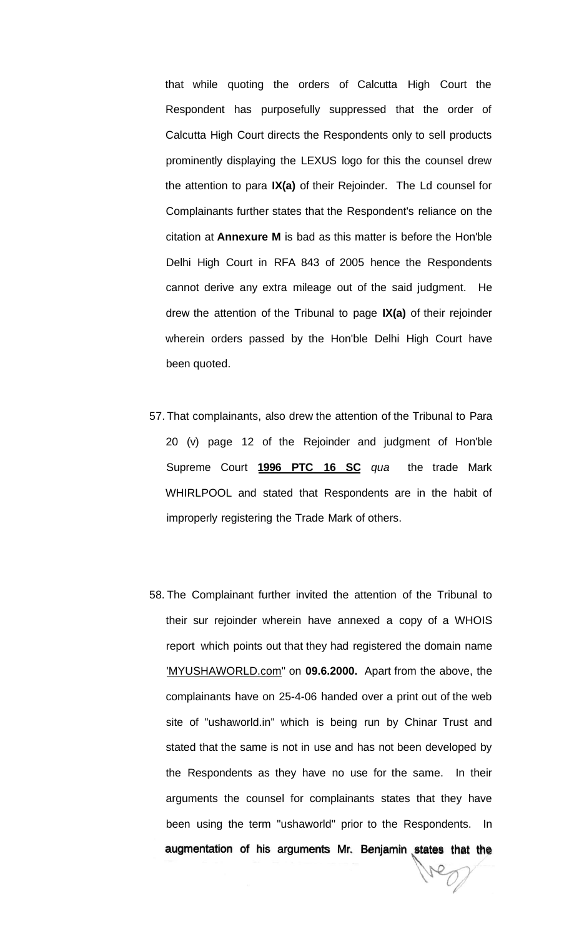that while quoting the orders of Calcutta High Court the Respondent has purposefully suppressed that the order of Calcutta High Court directs the Respondents only to sell products prominently displaying the LEXUS logo for this the counsel drew the attention to para **IX(a)** of their Rejoinder. The Ld counsel for Complainants further states that the Respondent's reliance on the citation at **Annexure M** is bad as this matter is before the Hon'ble Delhi High Court in RFA 843 of 2005 hence the Respondents cannot derive any extra mileage out of the said judgment. He drew the attention of the Tribunal to page **IX(a)** of their rejoinder wherein orders passed by the Hon'ble Delhi High Court have been quoted.

- 57. That complainants, also drew the attention of the Tribunal to Para 20 (v) page 12 of the Rejoinder and judgment of Hon'ble Supreme Court **1996 PTC 16 SC** qua the trade Mark WHIRLPOOL and stated that Respondents are in the habit of improperly registering the Trade Mark of others.
- 58. The Complainant further invited the attention of the Tribunal to their sur rejoinder wherein have annexed a copy of a WHOIS report which points out that they had registered the domain name ['MYUSHAWORLD.com"](http://) on **09.6.2000.** Apart from the above, the complainants have on 25-4-06 handed over a print out of the web site of "ushaworld.in" which is being run by Chinar Trust and stated that the same is not in use and has not been developed by the Respondents as they have no use for the same. In their arguments the counsel for complainants states that they have been using the term "ushaworld" prior to the Respondents. In augmentation of his arguments Mr. Benjamin states that the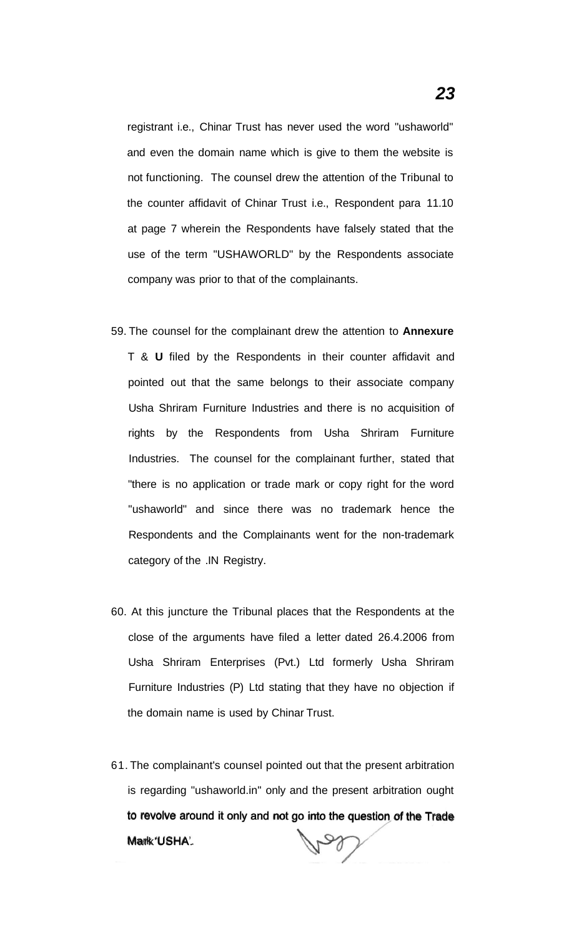registrant i.e., Chinar Trust has never used the word "ushaworld" and even the domain name which is give to them the website is not functioning. The counsel drew the attention of the Tribunal to the counter affidavit of Chinar Trust i.e., Respondent para 11.10 at page 7 wherein the Respondents have falsely stated that the use of the term "USHAWORLD" by the Respondents associate company was prior to that of the complainants.

- 59. The counsel for the complainant drew the attention to **Annexure**  T & **U** filed by the Respondents in their counter affidavit and pointed out that the same belongs to their associate company Usha Shriram Furniture Industries and there is no acquisition of rights by the Respondents from Usha Shriram Furniture Industries. The counsel for the complainant further, stated that "there is no application or trade mark or copy right for the word "ushaworld" and since there was no trademark hence the Respondents and the Complainants went for the non-trademark category of the .IN Registry.
- 60. At this juncture the Tribunal places that the Respondents at the close of the arguments have filed a letter dated 26.4.2006 from Usha Shriram Enterprises (Pvt.) Ltd formerly Usha Shriram Furniture Industries (P) Ltd stating that they have no objection if the domain name is used by Chinar Trust.
- 61. The complainant's counsel pointed out that the present arbitration is regarding "ushaworld.in" only and the present arbitration ought to revolve around it only and not go into the question of the Trade Mark'USHA'. bet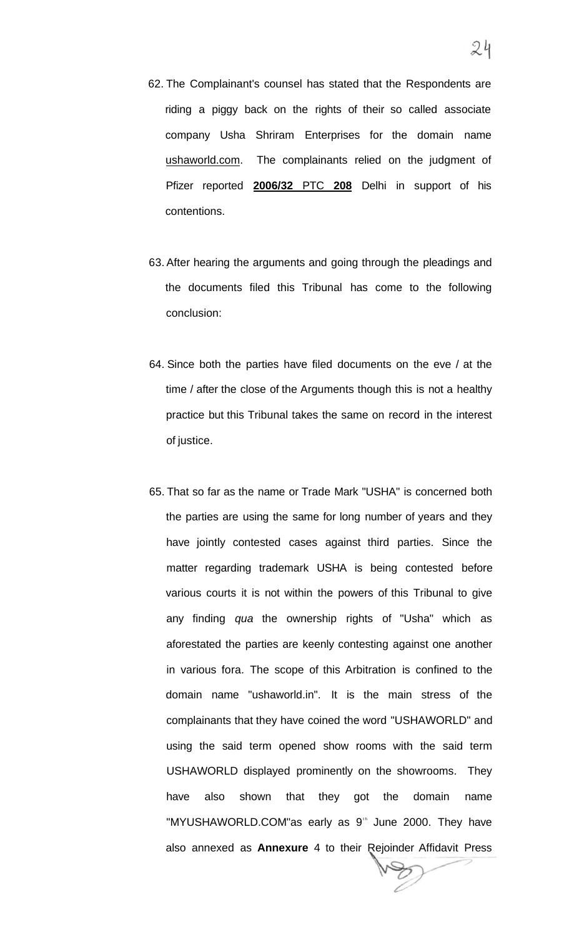- 62. The Complainant's counsel has stated that the Respondents are riding a piggy back on the rights of their so called associate company Usha Shriram Enterprises for the domain name [ushaworld.com.](http://ushaworld.com) The complainants relied on the judgment of Pfizer reported **2006/32** PTC **208** Delhi in support of his contentions.
- 63. After hearing the arguments and going through the pleadings and the documents filed this Tribunal has come to the following conclusion:
- 64. Since both the parties have filed documents on the eve / at the time / after the close of the Arguments though this is not a healthy practice but this Tribunal takes the same on record in the interest of justice.
- 65. That so far as the name or Trade Mark "USHA" is concerned both the parties are using the same for long number of years and they have jointly contested cases against third parties. Since the matter regarding trademark USHA is being contested before various courts it is not within the powers of this Tribunal to give any finding qua the ownership rights of "Usha" which as aforestated the parties are keenly contesting against one another in various fora. The scope of this Arbitration is confined to the domain name "ushaworld.in". It is the main stress of the complainants that they have coined the word "USHAWORLD" and using the said term opened show rooms with the said term USHAWORLD displayed prominently on the showrooms. They have also shown that they got the domain name "MYUSHAWORLD.COM"as early as 9<sup>th</sup> June 2000. They have also annexed as **Annexure** 4 to their Rejoinder Affidavit Press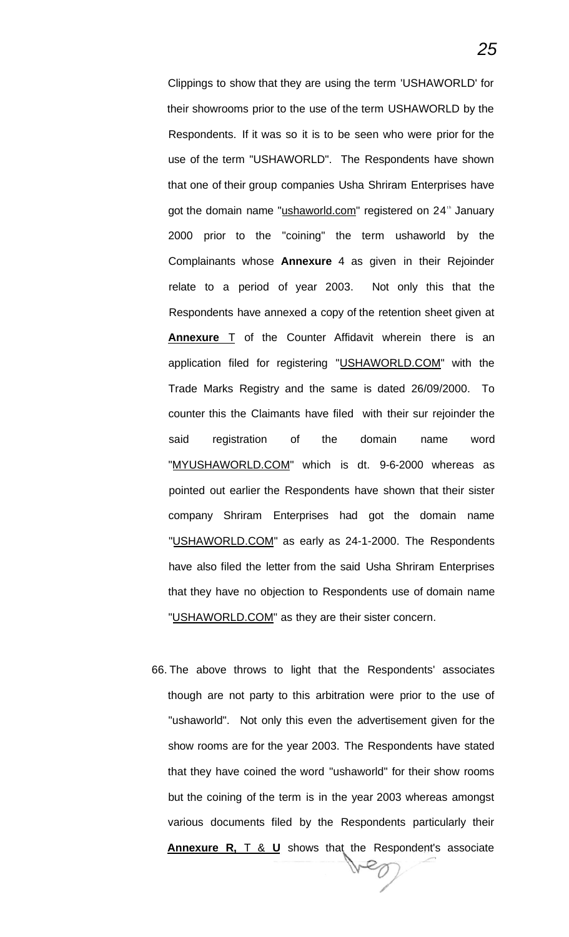Clippings to show that they are using the term 'USHAWORLD' for their showrooms prior to the use of the term USHAWORLD by the Respondents. If it was so it is to be seen who were prior for the use of the term "USHAWORLD". The Respondents have shown that one of their group companies Usha Shriram Enterprises have got the domain name "[ushaworld.com"](http://ushaworld.com) registered on 24<sup>th</sup> January 2000 prior to the "coining" the term ushaworld by the Complainants whose **Annexure** 4 as given in their Rejoinder relate to a period of year 2003. Not only this that the Respondents have annexed a copy of the retention sheet given at **Annexure** T of the Counter Affidavit wherein there is an application filed for registering "[USHAWORLD.COM"](http://USHAWORLD.COM) with the Trade Marks Registry and the same is dated 26/09/2000. To counter this the Claimants have filed with their sur rejoinder the said registration of the domain name word "[MYUSHAWORLD.COM"](http://MYUSHAWORLD.COM) which is dt. 9-6-2000 whereas as pointed out earlier the Respondents have shown that their sister company Shriram Enterprises had got the domain name "[USHAWORLD.COM"](http://USHAWORLD.COM) as early as 24-1-2000. The Respondents have also filed the letter from the said Usha Shriram Enterprises that they have no objection to Respondents use of domain name "[USHAWORLD.COM"](http://USHAWORLD.COM) as they are their sister concern.

66. The above throws to light that the Respondents' associates though are not party to this arbitration were prior to the use of "ushaworld". Not only this even the advertisement given for the show rooms are for the year 2003. The Respondents have stated that they have coined the word "ushaworld" for their show rooms but the coining of the term is in the year 2003 whereas amongst various documents filed by the Respondents particularly their **Annexure R,** T & **U** shows that the Respondent's associate  $\varepsilon_{\mathcal{O}}$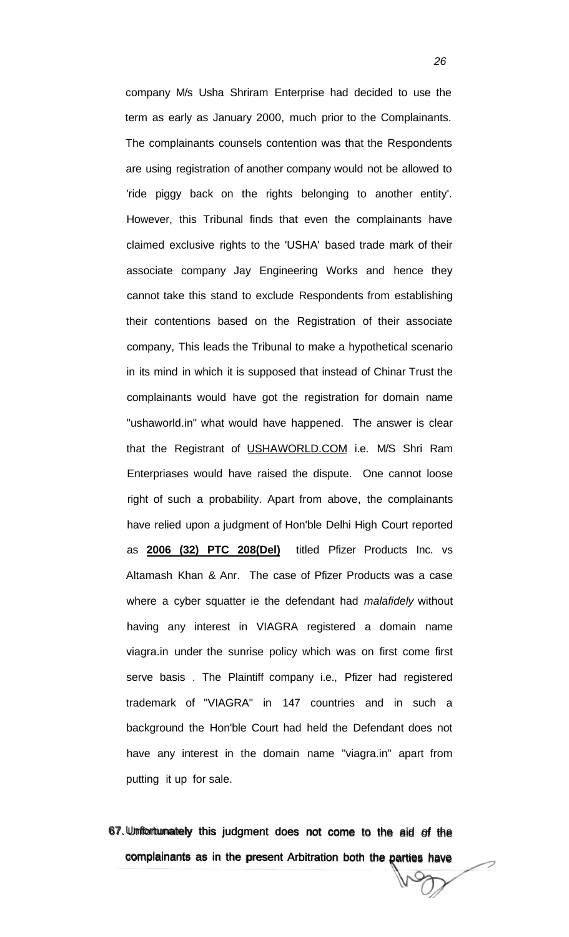company M/s Usha Shriram Enterprise had decided to use the term as early as January 2000, much prior to the Complainants. The complainants counsels contention was that the Respondents are using registration of another company would not be allowed to 'ride piggy back on the rights belonging to another entity'. However, this Tribunal finds that even the complainants have claimed exclusive rights to the 'USHA' based trade mark of their associate company Jay Engineering Works and hence they cannot take this stand to exclude Respondents from establishing their contentions based on the Registration of their associate company, This leads the Tribunal to make a hypothetical scenario in its mind in which it is supposed that instead of Chinar Trust the complainants would have got the registration for domain name "ushaworld.in" what would have happened. The answer is clear that the Registrant of [USHAWORLD.COM i](http://USHAWORLD.COM).e. M/S Shri Ram Enterpriases would have raised the dispute. One cannot loose right of such a probability. Apart from above, the complainants have relied upon a judgment of Hon'ble Delhi High Court reported as **2006 (32) PTC 208(Del)** titled Pfizer Products Inc. vs Altamash Khan & Anr. The case of Pfizer Products was a case where a cyber squatter ie the defendant had malafidely without having any interest in VIAGRA registered a domain name viagra.in under the sunrise policy which was on first come first serve basis . The Plaintiff company i.e., Pfizer had registered trademark of "VIAGRA" in 147 countries and in such a background the Hon'ble Court had held the Defendant does not have any interest in the domain name "viagra.in" apart from putting it up for sale.

67. Unfortunately this judgment does not come to the aid of the complainants as in the present Arbitration both the parties have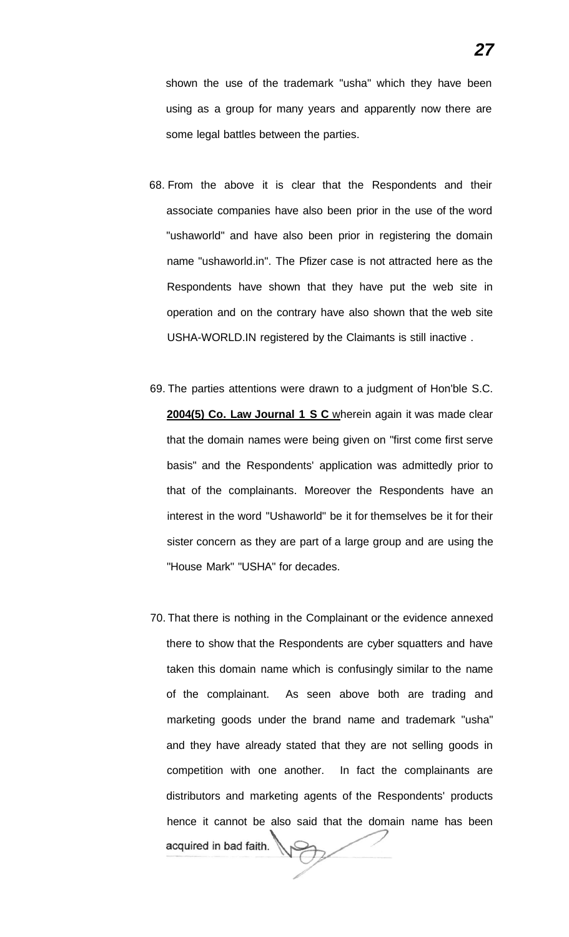shown the use of the trademark "usha" which they have been using as a group for many years and apparently now there are some legal battles between the parties.

- 68. From the above it is clear that the Respondents and their associate companies have also been prior in the use of the word "ushaworld" and have also been prior in registering the domain name "ushaworld.in". The Pfizer case is not attracted here as the Respondents have shown that they have put the web site in operation and on the contrary have also shown that the web site USHA-WORLD.IN registered by the Claimants is still inactive .
- 69. The parties attentions were drawn to a judgment of Hon'ble S.C. **2004(5) Co. Law Journal 1 S C** wherein again it was made clear that the domain names were being given on "first come first serve basis" and the Respondents' application was admittedly prior to that of the complainants. Moreover the Respondents have an interest in the word "Ushaworld" be it for themselves be it for their sister concern as they are part of a large group and are using the "House Mark" "USHA" for decades.
- 70. That there is nothing in the Complainant or the evidence annexed there to show that the Respondents are cyber squatters and have taken this domain name which is confusingly similar to the name of the complainant. As seen above both are trading and marketing goods under the brand name and trademark "usha" and they have already stated that they are not selling goods in competition with one another. In fact the complainants are distributors and marketing agents of the Respondents' products hence it cannot be also said that the domain name has been acquired in bad faith.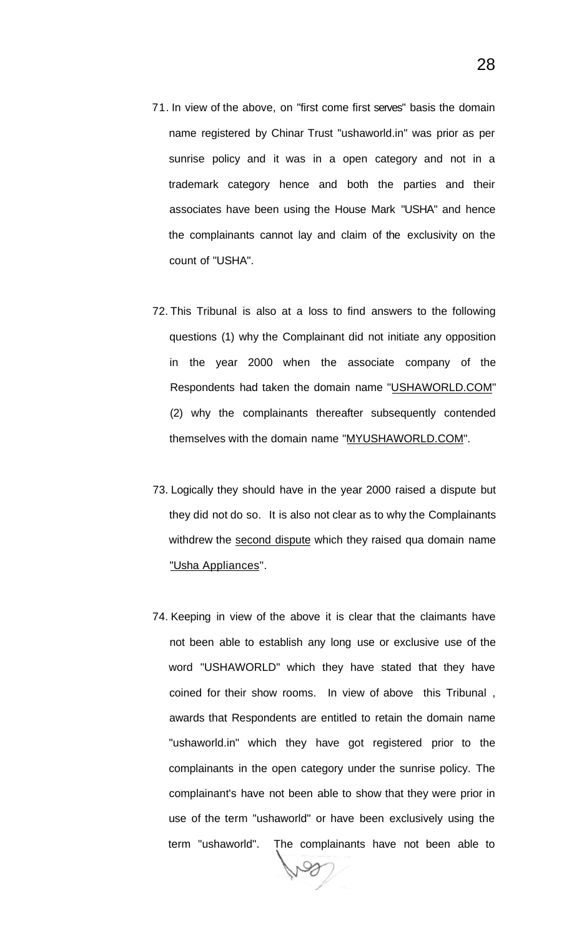- 71. In view of the above, on "first come first serves" basis the domain name registered by Chinar Trust "ushaworld.in" was prior as per sunrise policy and it was in a open category and not in a trademark category hence and both the parties and their associates have been using the House Mark "USHA" and hence the complainants cannot lay and claim of the exclusivity on the count of "USHA".
- 72. This Tribunal is also at a loss to find answers to the following questions (1) why the Complainant did not initiate any opposition in the year 2000 when the associate company of the Respondents had taken the domain name "[USHAWORLD.COM"](http://USHAWORLD.COM) (2) why the complainants thereafter subsequently contended themselves with the domain name "[MYUSHAWORLD.COM".](http://MYUSHAWORLD.COM)
- 73. Logically they should have in the year 2000 raised a dispute but they did not do so. It is also not clear as to why the Complainants withdrew the second dispute which they raised qua domain name "Usha Appliances".
- 74. Keeping in view of the above it is clear that the claimants have not been able to establish any long use or exclusive use of the word "USHAWORLD" which they have stated that they have coined for their show rooms. In view of above this Tribunal , awards that Respondents are entitled to retain the domain name "ushaworld.in" which they have got registered prior to the complainants in the open category under the sunrise policy. The complainant's have not been able to show that they were prior in use of the term "ushaworld" or have been exclusively using the term "ushaworld". The complainants have not been able to